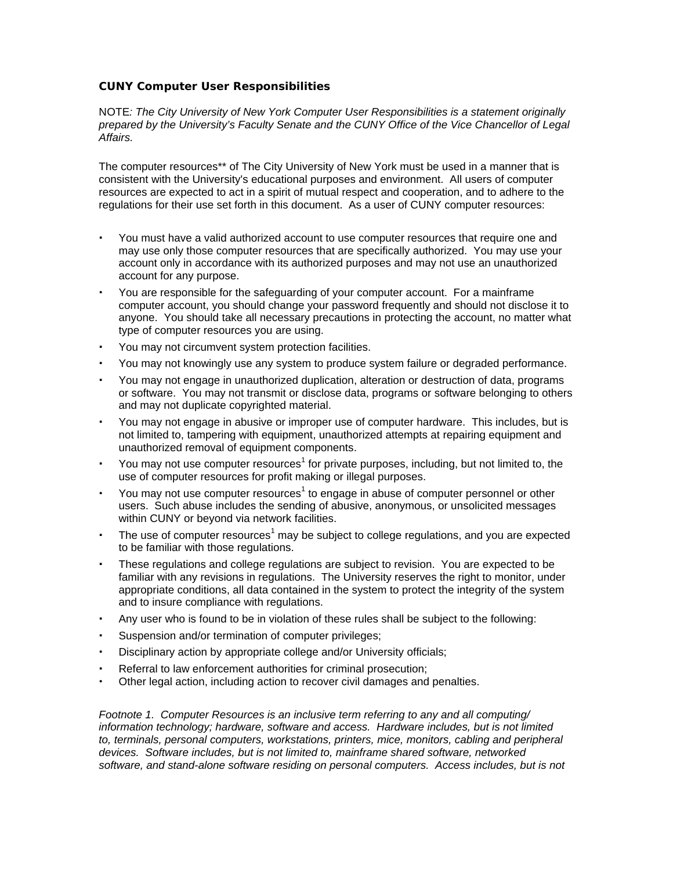## **CUNY Computer User Responsibilities**

NOTE*: The City University of New York Computer User Responsibilities is a statement originally prepared by the University's Faculty Senate and the CUNY Office of the Vice Chancellor of Legal Affairs.*

The computer resources\*\* of The City University of New York must be used in a manner that is consistent with the University's educational purposes and environment. All users of computer resources are expected to act in a spirit of mutual respect and cooperation, and to adhere to the regulations for their use set forth in this document. As a user of CUNY computer resources:

- † You must have a valid authorized account to use computer resources that require one and may use only those computer resources that are specifically authorized. You may use your account only in accordance with its authorized purposes and may not use an unauthorized account for any purpose.
- † You are responsible for the safeguarding of your computer account. For a mainframe computer account, you should change your password frequently and should not disclose it to anyone. You should take all necessary precautions in protecting the account, no matter what type of computer resources you are using.
- You may not circumvent system protection facilities.
- † You may not knowingly use any system to produce system failure or degraded performance.
- † You may not engage in unauthorized duplication, alteration or destruction of data, programs or software. You may not transmit or disclose data, programs or software belonging to others and may not duplicate copyrighted material.
- † You may not engage in abusive or improper use of computer hardware. This includes, but is not limited to, tampering with equipment, unauthorized attempts at repairing equipment and unauthorized removal of equipment components.
- You may not use computer resources<sup>1</sup> for private purposes, including, but not limited to, the use of computer resources for profit making or illegal purposes.
- $\cdot$  You may not use computer resources<sup>1</sup> to engage in abuse of computer personnel or other users. Such abuse includes the sending of abusive, anonymous, or unsolicited messages within CUNY or beyond via network facilities.
- $\cdot$  The use of computer resources<sup>1</sup> may be subject to college regulations, and you are expected to be familiar with those regulations.
- † These regulations and college regulations are subject to revision. You are expected to be familiar with any revisions in regulations. The University reserves the right to monitor, under appropriate conditions, all data contained in the system to protect the integrity of the system and to insure compliance with regulations.
- † Any user who is found to be in violation of these rules shall be subject to the following:
- Suspension and/or termination of computer privileges;
- † Disciplinary action by appropriate college and/or University officials;
- † Referral to law enforcement authorities for criminal prosecution;
- † Other legal action, including action to recover civil damages and penalties.

*Footnote 1. Computer Resources is an inclusive term referring to any and all computing/ information technology; hardware, software and access. Hardware includes, but is not limited to, terminals, personal computers, workstations, printers, mice, monitors, cabling and peripheral devices. Software includes, but is not limited to, mainframe shared software, networked software, and stand-alone software residing on personal computers. Access includes, but is not*